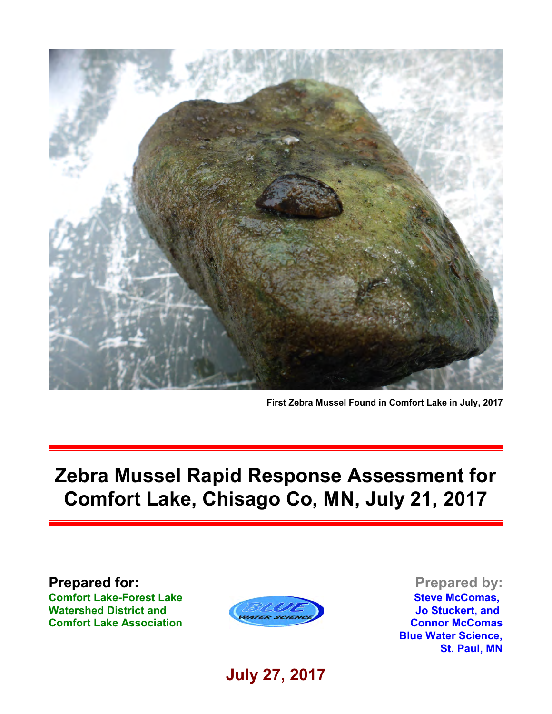

**First Zebra Mussel Found in Comfort Lake in July, 2017**

# **Zebra Mussel Rapid Response Assessment for Comfort Lake, Chisago Co, MN, July 21, 2017**

**Prepared for: Comfort Lake-Forest Lake Watershed District and Comfort Lake Association**



**Prepared by: Steve McComas, Jo Stuckert, and Connor McComas Blue Water Science, St. Paul, MN**

**July 27, 2017**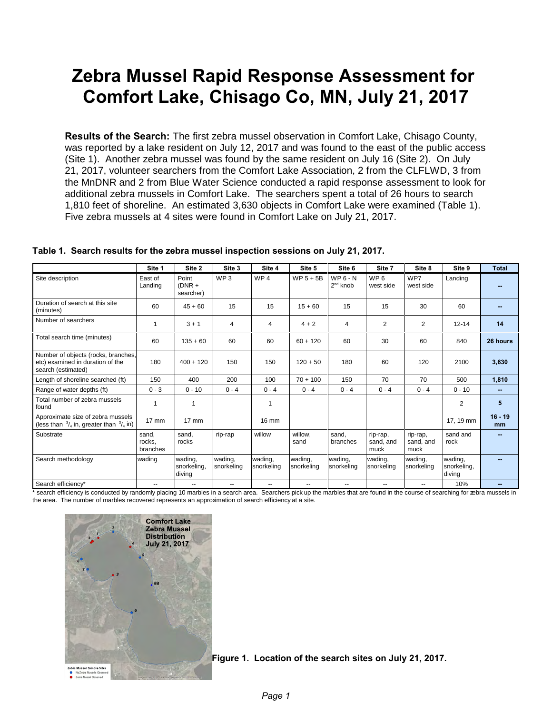# **Zebra Mussel Rapid Response Assessment for Comfort Lake, Chisago Co, MN, July 21, 2017**

**Results of the Search:** The first zebra mussel observation in Comfort Lake, Chisago County, was reported by a lake resident on July 12, 2017 and was found to the east of the public access (Site 1). Another zebra mussel was found by the same resident on July 16 (Site 2). On July 21, 2017, volunteer searchers from the Comfort Lake Association, 2 from the CLFLWD, 3 from the MnDNR and 2 from Blue Water Science conducted a rapid response assessment to look for additional zebra mussels in Comfort Lake. The searchers spent a total of 26 hours to search 1,810 feet of shoreline. An estimated 3,630 objects in Comfort Lake were examined (Table 1). Five zebra mussels at 4 sites were found in Comfort Lake on July 21, 2017.

|                                                                                                  | Site 1                      | Site 2                           | Site 3                   | Site 4                | Site 5                | Site 6                      | Site 7                        | Site 8                        | Site 9                           | <b>Total</b>    |
|--------------------------------------------------------------------------------------------------|-----------------------------|----------------------------------|--------------------------|-----------------------|-----------------------|-----------------------------|-------------------------------|-------------------------------|----------------------------------|-----------------|
| Site description                                                                                 | East of<br>Landing          | Point<br>$(DNR +$<br>searcher)   | WP <sub>3</sub>          | WP <sub>4</sub>       | $WP 5 + 5B$           | $WP 6 - N$<br>$2^{nd}$ knob | WP <sub>6</sub><br>west side  | WP7<br>west side              | Landing                          |                 |
| Duration of search at this site<br>(minutes)                                                     | 60                          | $45 + 60$                        | 15                       | 15                    | $15 + 60$             | 15                          | 15                            | 30                            | 60                               |                 |
| Number of searchers                                                                              | 1                           | $3 + 1$                          | $\overline{4}$           | $\overline{4}$        | $4 + 2$               | 4                           | 2                             | 2                             | $12 - 14$                        | 14              |
| Total search time (minutes)                                                                      | 60                          | $135 + 60$                       | 60                       | 60                    | $60 + 120$            | 60                          | 30                            | 60                            | 840                              | 26 hours        |
| Number of objects (rocks, branches,<br>etc) examined in duration of the<br>search (estimated)    | 180                         | $400 + 120$                      | 150                      | 150                   | $120 + 50$            | 180                         | 60                            | 120                           | 2100                             | 3,630           |
| Length of shoreline searched (ft)                                                                | 150                         | 400                              | 200                      | 100                   | $70 + 100$            | 150                         | 70                            | 70                            | 500                              | 1,810           |
| Range of water depths (ft)                                                                       | $0 - 3$                     | $0 - 10$                         | $0 - 4$                  | $0 - 4$               | $0 - 4$               | $0 - 4$                     | $0 - 4$                       | $0 - 4$                       | $0 - 10$                         | $\sim$          |
| Total number of zebra mussels<br>found                                                           | 1                           |                                  |                          | 1                     |                       |                             |                               |                               | $\overline{2}$                   | 5               |
| Approximate size of zebra mussels<br>(less than $\frac{3}{4}$ in, greater than $\frac{3}{4}$ in) | $17 \text{ mm}$             | $17 \text{ mm}$                  |                          | $16 \text{ mm}$       |                       |                             |                               |                               | 17, 19 mm                        | $16 - 19$<br>mm |
| Substrate                                                                                        | sand.<br>rocks.<br>branches | sand.<br>rocks                   | rip-rap                  | willow                | willow,<br>sand       | sand.<br>branches           | rip-rap,<br>sand, and<br>muck | rip-rap,<br>sand, and<br>muck | sand and<br>rock                 |                 |
| Search methodology                                                                               | wading                      | wading,<br>snorkeling,<br>diving | wading,<br>snorkeling    | wading,<br>snorkeling | wading,<br>snorkeling | wading,<br>snorkeling       | wading,<br>snorkeling         | wading,<br>snorkeling         | wading,<br>snorkeling,<br>diving |                 |
| Search efficiency*                                                                               | --                          | $\overline{\phantom{a}}$         | $\overline{\phantom{a}}$ | --                    | $\qquad \qquad -$     | --                          | $\overline{\phantom{a}}$      | --                            | 10%                              |                 |

#### **Table 1. Search results for the zebra mussel inspection sessions on July 21, 2017.**

\* search efficiency is conducted by randomly placing 10 marbles in a search area. Searchers pick up the marbles that are found in the course of searching for zebra mussels in the area. The number of marbles recovered represents an approximation of search efficiency at a site.



**Figure 1. Location of the search sites on July 21, 2017.**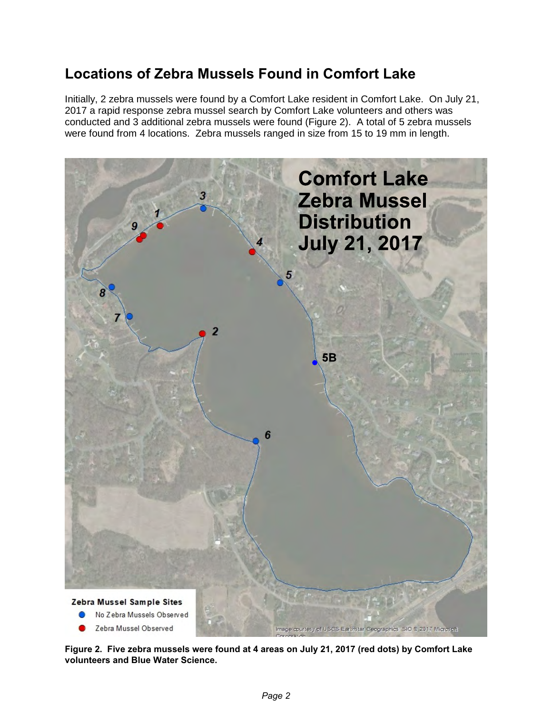## **Locations of Zebra Mussels Found in Comfort Lake**

Initially, 2 zebra mussels were found by a Comfort Lake resident in Comfort Lake. On July 21, 2017 a rapid response zebra mussel search by Comfort Lake volunteers and others was conducted and 3 additional zebra mussels were found (Figure 2). A total of 5 zebra mussels were found from 4 locations. Zebra mussels ranged in size from 15 to 19 mm in length.



**Figure 2. Five zebra mussels were found at 4 areas on July 21, 2017 (red dots) by Comfort Lake volunteers and Blue Water Science.**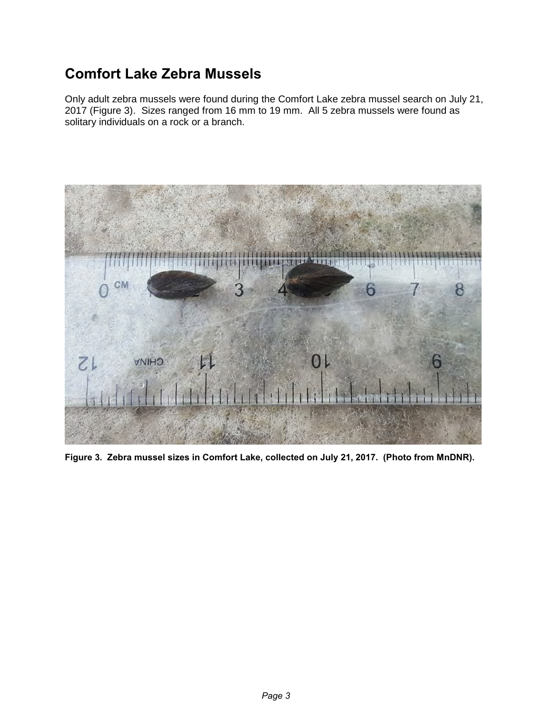## **Comfort Lake Zebra Mussels**

Only adult zebra mussels were found during the Comfort Lake zebra mussel search on July 21, 2017 (Figure 3). Sizes ranged from 16 mm to 19 mm. All 5 zebra mussels were found as solitary individuals on a rock or a branch.



**Figure 3. Zebra mussel sizes in Comfort Lake, collected on July 21, 2017. (Photo from MnDNR).**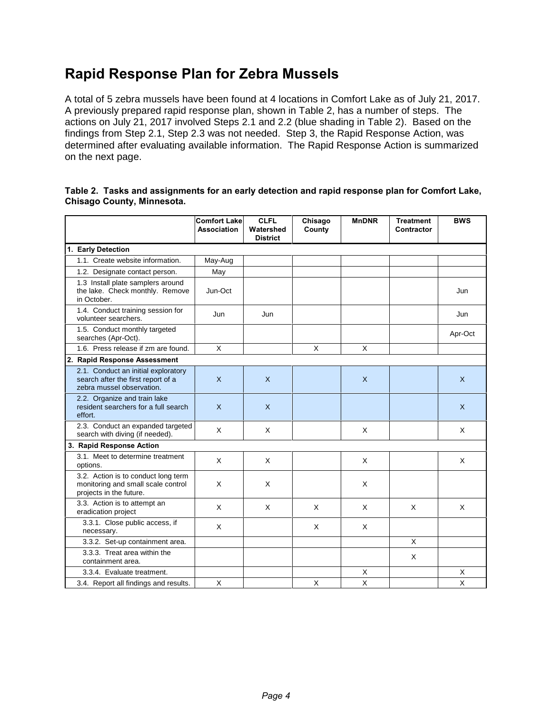### **Rapid Response Plan for Zebra Mussels**

A total of 5 zebra mussels have been found at 4 locations in Comfort Lake as of July 21, 2017. A previously prepared rapid response plan, shown in Table 2, has a number of steps. The actions on July 21, 2017 involved Steps 2.1 and 2.2 (blue shading in Table 2). Based on the findings from Step 2.1, Step 2.3 was not needed. Step 3, the Rapid Response Action, was determined after evaluating available information. The Rapid Response Action is summarized on the next page.

|                                                                                                        | <b>Comfort Lake</b><br>Association | <b>CLFL</b><br>Watershed<br><b>District</b> | Chisago<br>County | <b>MnDNR</b> | <b>Treatment</b><br>Contractor | <b>BWS</b> |
|--------------------------------------------------------------------------------------------------------|------------------------------------|---------------------------------------------|-------------------|--------------|--------------------------------|------------|
| 1. Early Detection                                                                                     |                                    |                                             |                   |              |                                |            |
| 1.1. Create website information.                                                                       | May-Aug                            |                                             |                   |              |                                |            |
| 1.2. Designate contact person.                                                                         | May                                |                                             |                   |              |                                |            |
| 1.3 Install plate samplers around<br>the lake. Check monthly. Remove<br>in October.                    | Jun-Oct                            |                                             |                   |              |                                | Jun        |
| 1.4. Conduct training session for<br>volunteer searchers.                                              | Jun                                | Jun                                         |                   |              |                                | Jun        |
| 1.5. Conduct monthly targeted<br>searches (Apr-Oct).                                                   |                                    |                                             |                   |              |                                | Apr-Oct    |
| 1.6. Press release if zm are found.                                                                    | X                                  |                                             | X                 | X            |                                |            |
| 2. Rapid Response Assessment                                                                           |                                    |                                             |                   |              |                                |            |
| 2.1. Conduct an initial exploratory<br>search after the first report of a<br>zebra mussel observation. | $\mathsf{X}$                       | $\mathsf{X}$                                |                   | $\mathsf{X}$ |                                | $\times$   |
| 2.2. Organize and train lake<br>resident searchers for a full search<br>effort.                        | $\sf X$                            | $\mathsf{X}$                                |                   |              |                                | $\sf X$    |
| 2.3. Conduct an expanded targeted<br>search with diving (if needed).                                   | X                                  | X                                           |                   | X            |                                | X          |
| 3. Rapid Response Action                                                                               |                                    |                                             |                   |              |                                |            |
| 3.1. Meet to determine treatment<br>options.                                                           | X                                  | X                                           |                   | X            |                                | X          |
| 3.2. Action is to conduct long term<br>monitoring and small scale control<br>projects in the future.   | X                                  | X                                           |                   | X            |                                |            |
| 3.3. Action is to attempt an<br>eradication project                                                    | $\times$                           | X                                           | X                 | X            | X                              | X          |
| 3.3.1. Close public access, if<br>necessary.                                                           | X                                  |                                             | X                 | X            |                                |            |
| 3.3.2. Set-up containment area.                                                                        |                                    |                                             |                   |              | X                              |            |
| 3.3.3. Treat area within the<br>containment area.                                                      |                                    |                                             |                   |              | X                              |            |
| 3.3.4. Evaluate treatment.                                                                             |                                    |                                             |                   | X            |                                | X          |
| 3.4. Report all findings and results.                                                                  | X                                  |                                             | X                 | X            |                                | X          |

#### **Table 2. Tasks and assignments for an early detection and rapid response plan for Comfort Lake, Chisago County, Minnesota.**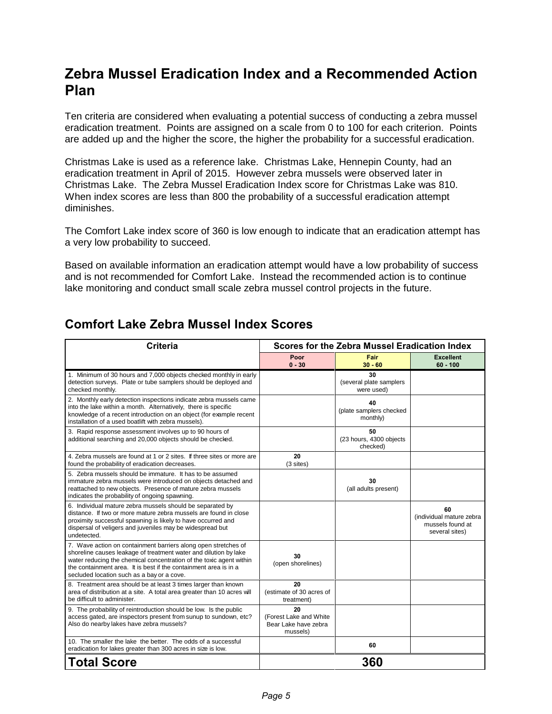### **Zebra Mussel Eradication Index and a Recommended Action Plan**

Ten criteria are considered when evaluating a potential success of conducting a zebra mussel eradication treatment. Points are assigned on a scale from 0 to 100 for each criterion. Points are added up and the higher the score, the higher the probability for a successful eradication.

Christmas Lake is used as a reference lake. Christmas Lake, Hennepin County, had an eradication treatment in April of 2015. However zebra mussels were observed later in Christmas Lake. The Zebra Mussel Eradication Index score for Christmas Lake was 810. When index scores are less than 800 the probability of a successful eradication attempt diminishes.

The Comfort Lake index score of 360 is low enough to indicate that an eradication attempt has a very low probability to succeed.

Based on available information an eradication attempt would have a low probability of success and is not recommended for Comfort Lake. Instead the recommended action is to continue lake monitoring and conduct small scale zebra mussel control projects in the future.

| <b>Criteria</b>                                                                                                                                                                                                                                                                                                             | Scores for the Zebra Mussel Eradication Index                    |                                             |                                                                      |  |
|-----------------------------------------------------------------------------------------------------------------------------------------------------------------------------------------------------------------------------------------------------------------------------------------------------------------------------|------------------------------------------------------------------|---------------------------------------------|----------------------------------------------------------------------|--|
|                                                                                                                                                                                                                                                                                                                             | Poor<br>$0 - 30$                                                 | Fair<br>$30 - 60$                           | <b>Excellent</b><br>$60 - 100$                                       |  |
| 1. Minimum of 30 hours and 7,000 objects checked monthly in early<br>detection surveys. Plate or tube samplers should be deployed and<br>checked monthly.                                                                                                                                                                   |                                                                  | 30<br>(several plate samplers<br>were used) |                                                                      |  |
| 2. Monthly early detection inspections indicate zebra mussels came<br>into the lake within a month. Alternatively, there is specific<br>knowledge of a recent introduction on an object (for example recent<br>installation of a used boatlift with zebra mussels).                                                         |                                                                  | 40<br>(plate samplers checked<br>monthly)   |                                                                      |  |
| 3. Rapid response assessment involves up to 90 hours of<br>additional searching and 20,000 objects should be checked.                                                                                                                                                                                                       |                                                                  | 50<br>(23 hours, 4300 objects<br>checked)   |                                                                      |  |
| 4. Zebra mussels are found at 1 or 2 sites. If three sites or more are<br>found the probability of eradication decreases.                                                                                                                                                                                                   | 20<br>(3 sites)                                                  |                                             |                                                                      |  |
| 5. Zebra mussels should be immature. It has to be assumed<br>immature zebra mussels were introduced on objects detached and<br>reattached to new objects. Presence of mature zebra mussels<br>indicates the probability of ongoing spawning.                                                                                |                                                                  | 30<br>(all adults present)                  |                                                                      |  |
| 6. Individual mature zebra mussels should be separated by<br>distance. If two or more mature zebra mussels are found in close<br>proximity successful spawning is likely to have occurred and<br>dispersal of veligers and juveniles may be widespread but<br>undetected.                                                   |                                                                  |                                             | 60<br>(individual mature zebra<br>mussels found at<br>several sites) |  |
| 7. Wave action on containment barriers along open stretches of<br>shoreline causes leakage of treatment water and dilution by lake<br>water reducing the chemical concentration of the toxic agent within<br>the containment area. It is best if the containment area is in a<br>secluded location such as a bay or a cove. | 30<br>(open shorelines)                                          |                                             |                                                                      |  |
| 8. Treatment area should be at least 3 times larger than known<br>area of distribution at a site. A total area greater than 10 acres will<br>be difficult to administer.                                                                                                                                                    | 20<br>(estimate of 30 acres of<br>treatment)                     |                                             |                                                                      |  |
| 9. The probability of reintroduction should be low. Is the public<br>access gated, are inspectors present from sunup to sundown, etc?<br>Also do nearby lakes have zebra mussels?                                                                                                                                           | 20<br>(Forest Lake and White<br>Bear Lake have zebra<br>mussels) |                                             |                                                                      |  |
| 10. The smaller the lake the better. The odds of a successful<br>eradication for lakes greater than 300 acres in size is low.                                                                                                                                                                                               |                                                                  | 60                                          |                                                                      |  |
| <b>Total Score</b>                                                                                                                                                                                                                                                                                                          | 360                                                              |                                             |                                                                      |  |

### **Comfort Lake Zebra Mussel Index Scores**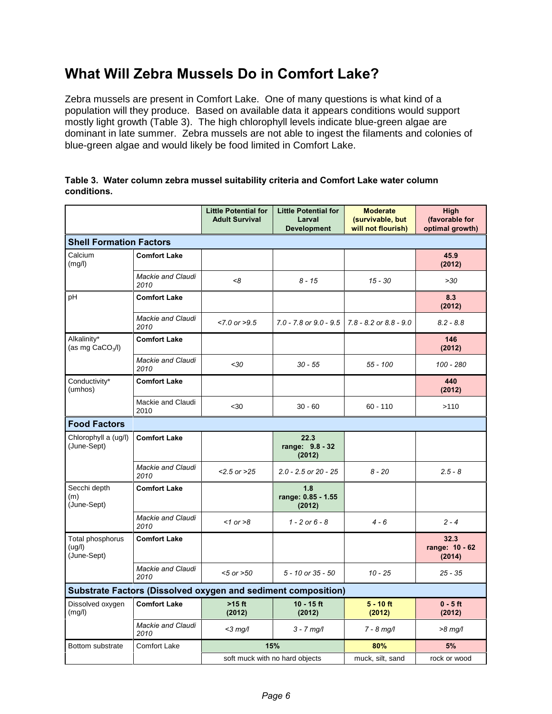## **What Will Zebra Mussels Do in Comfort Lake?**

Zebra mussels are present in Comfort Lake. One of many questions is what kind of a population will they produce. Based on available data it appears conditions would support mostly light growth (Table 3). The high chlorophyll levels indicate blue-green algae are dominant in late summer. Zebra mussels are not able to ingest the filaments and colonies of blue-green algae and would likely be food limited in Comfort Lake.

|             | Table 3.  Water column zebra mussel suitability criteria and Comfort Lake water column |  |  |
|-------------|----------------------------------------------------------------------------------------|--|--|
| conditions. |                                                                                        |  |  |

|                                                               |                                  | <b>Little Potential for</b><br><b>Adult Survival</b> | <b>Little Potential for</b><br>Larval<br><b>Development</b> | <b>Moderate</b><br>(survivable, but<br>will not flourish) | <b>High</b><br>(favorable for<br>optimal growth) |  |  |  |  |
|---------------------------------------------------------------|----------------------------------|------------------------------------------------------|-------------------------------------------------------------|-----------------------------------------------------------|--------------------------------------------------|--|--|--|--|
| <b>Shell Formation Factors</b>                                |                                  |                                                      |                                                             |                                                           |                                                  |  |  |  |  |
| Calcium<br>(mg/l)                                             | <b>Comfort Lake</b>              |                                                      |                                                             |                                                           | 45.9<br>(2012)                                   |  |  |  |  |
|                                                               | <b>Mackie and Claudi</b><br>2010 | <8                                                   | $8 - 15$                                                    | $15 - 30$                                                 | >30                                              |  |  |  |  |
| pH                                                            | <b>Comfort Lake</b>              |                                                      |                                                             |                                                           | 8.3<br>(2012)                                    |  |  |  |  |
|                                                               | Mackie and Claudi<br>2010        | $< 7.0$ or $> 9.5$                                   | $7.0 - 7.8$ or $9.0 - 9.5$                                  | $7.8 - 8.2$ or $8.8 - 9.0$                                | $8.2 - 8.8$                                      |  |  |  |  |
| Alkalinity*<br>(as mg CaCO <sub>3</sub> /I)                   | <b>Comfort Lake</b>              |                                                      |                                                             |                                                           | 146<br>(2012)                                    |  |  |  |  |
|                                                               | <b>Mackie and Claudi</b><br>2010 | $30$                                                 | $30 - 55$                                                   | $55 - 100$                                                | $100 - 280$                                      |  |  |  |  |
| Conductivity*<br>(umhos)                                      | <b>Comfort Lake</b>              |                                                      |                                                             |                                                           | 440<br>(2012)                                    |  |  |  |  |
|                                                               | Mackie and Claudi<br>2010        | < 30                                                 | $30 - 60$                                                   | $60 - 110$                                                | >110                                             |  |  |  |  |
| <b>Food Factors</b>                                           |                                  |                                                      |                                                             |                                                           |                                                  |  |  |  |  |
| Chlorophyll a (uq/l)<br>(June-Sept)                           | <b>Comfort Lake</b>              |                                                      | 22.3<br>range: 9.8 - 32<br>(2012)                           |                                                           |                                                  |  |  |  |  |
|                                                               | Mackie and Claudi<br>2010        | $< 2.5$ or $> 25$                                    | $2.0 - 2.5$ or $20 - 25$                                    | $8 - 20$                                                  | $2.5 - 8$                                        |  |  |  |  |
| Secchi depth<br>(m)<br>(June-Sept)                            | <b>Comfort Lake</b>              |                                                      | 1.8<br>range: 0.85 - 1.55<br>(2012)                         |                                                           |                                                  |  |  |  |  |
|                                                               | <b>Mackie and Claudi</b><br>2010 | $<1$ or $>8$                                         | $1 - 2$ or $6 - 8$                                          | $4 - 6$                                                   | $2 - 4$                                          |  |  |  |  |
| Total phosphorus<br>(ug/l)<br>(June-Sept)                     | <b>Comfort Lake</b>              |                                                      |                                                             |                                                           | 32.3<br>range: 10 - 62<br>(2014)                 |  |  |  |  |
|                                                               | <b>Mackie and Claudi</b><br>2010 | 5 or > 50                                            | $5 - 10$ or $35 - 50$                                       | $10 - 25$                                                 | $25 - 35$                                        |  |  |  |  |
| Substrate Factors (Dissolved oxygen and sediment composition) |                                  |                                                      |                                                             |                                                           |                                                  |  |  |  |  |
| Dissolved oxygen<br>(mg/l)                                    | <b>Comfort Lake</b>              | $>15$ ft<br>(2012)                                   | $10 - 15$ ft<br>(2012)                                      | $5 - 10$ ft<br>(2012)                                     | $0 - 5$ ft<br>(2012)                             |  |  |  |  |
|                                                               | Mackie and Claudi<br>2010        | $<$ 3 mg/l                                           | $3 - 7$ mg/l                                                | $7 - 8$ mg/l                                              | $>8$ mg/l                                        |  |  |  |  |
| Bottom substrate                                              | <b>Comfort Lake</b>              |                                                      | 15%                                                         | 80%                                                       | 5%                                               |  |  |  |  |
|                                                               |                                  |                                                      | soft muck with no hard objects                              | muck, silt, sand                                          | rock or wood                                     |  |  |  |  |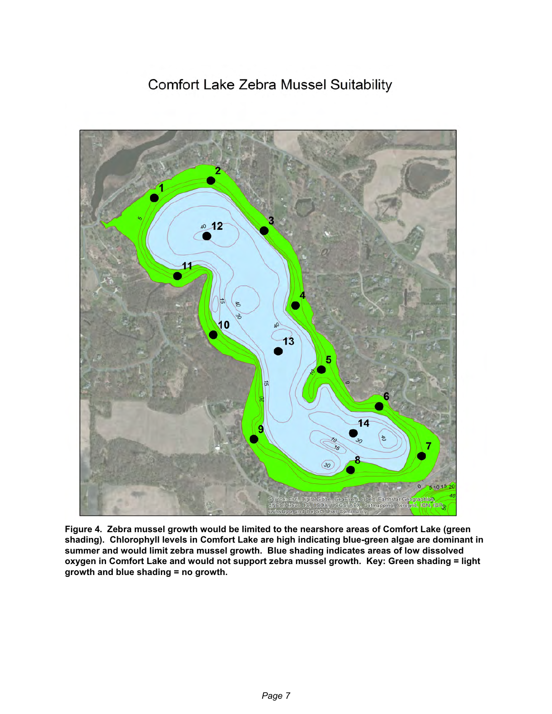### **Comfort Lake Zebra Mussel Suitability**



**Figure 4. Zebra mussel growth would be limited to the nearshore areas of Comfort Lake (green shading). Chlorophyll levels in Comfort Lake are high indicating blue-green algae are dominant in summer and would limit zebra mussel growth. Blue shading indicates areas of low dissolved oxygen in Comfort Lake and would not support zebra mussel growth. Key: Green shading = light growth and blue shading = no growth.**